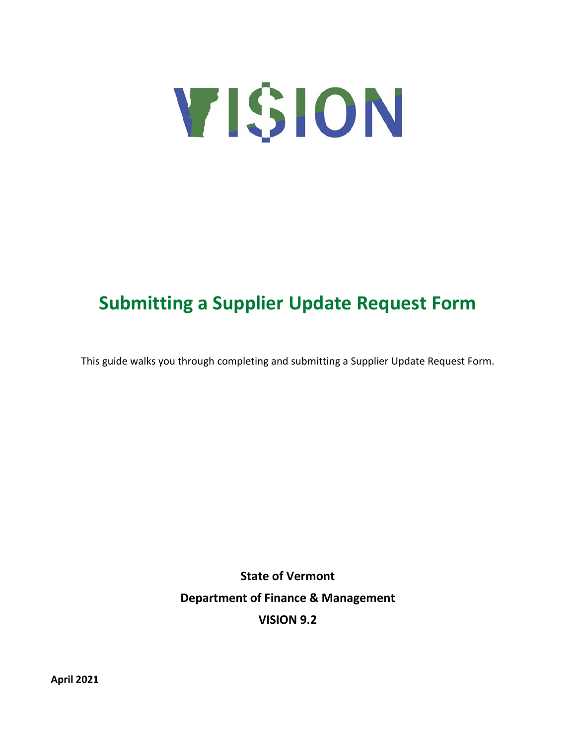

# **Submitting a Supplier Update Request Form**

This guide walks you through completing and submitting a Supplier Update Request Form.

**State of Vermont Department of Finance & Management VISION 9.2**

**April 2021**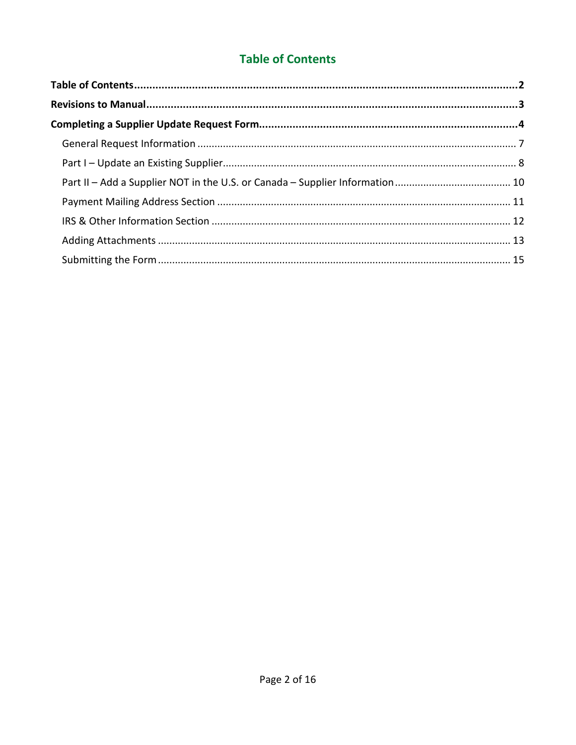# **Table of Contents**

<span id="page-1-0"></span>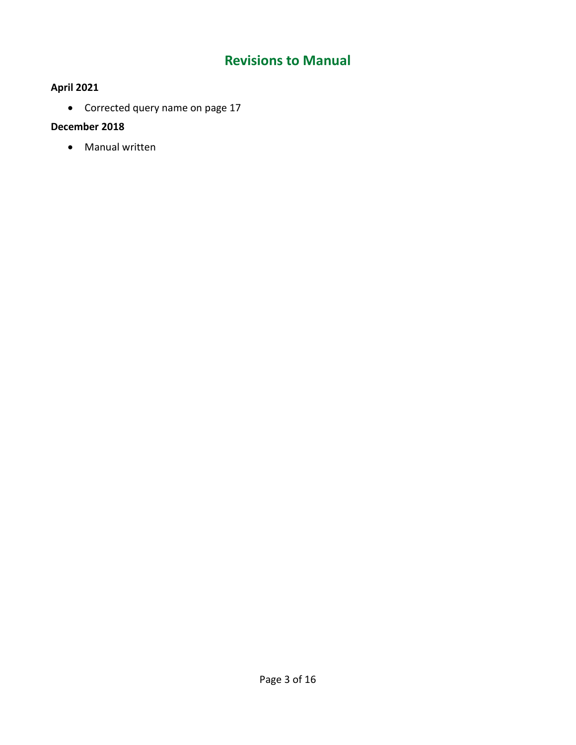# **Revisions to Manual**

# <span id="page-2-0"></span>**April 2021**

• Corrected query name on page 17

# **December 2018**

• Manual written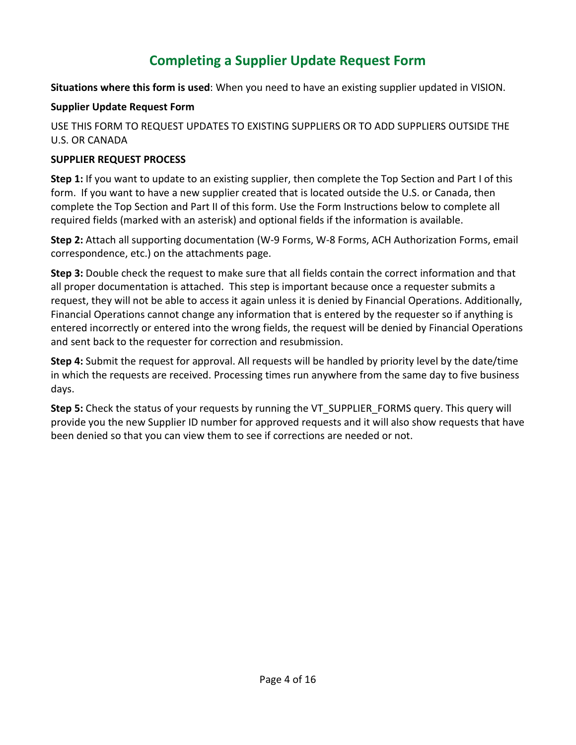# **Completing a Supplier Update Request Form**

<span id="page-3-0"></span>**Situations where this form is used**: When you need to have an existing supplier updated in VISION.

# **Supplier Update Request Form**

USE THIS FORM TO REQUEST UPDATES TO EXISTING SUPPLIERS OR TO ADD SUPPLIERS OUTSIDE THE U.S. OR CANADA

# **SUPPLIER REQUEST PROCESS**

**Step 1:** If you want to update to an existing supplier, then complete the Top Section and Part I of this form. If you want to have a new supplier created that is located outside the U.S. or Canada, then complete the Top Section and Part II of this form. Use the Form Instructions below to complete all required fields (marked with an asterisk) and optional fields if the information is available.

**Step 2:** Attach all supporting documentation (W-9 Forms, W-8 Forms, ACH Authorization Forms, email correspondence, etc.) on the attachments page.

**Step 3:** Double check the request to make sure that all fields contain the correct information and that all proper documentation is attached. This step is important because once a requester submits a request, they will not be able to access it again unless it is denied by Financial Operations. Additionally, Financial Operations cannot change any information that is entered by the requester so if anything is entered incorrectly or entered into the wrong fields, the request will be denied by Financial Operations and sent back to the requester for correction and resubmission.

**Step 4:** Submit the request for approval. All requests will be handled by priority level by the date/time in which the requests are received. Processing times run anywhere from the same day to five business days.

**Step 5:** Check the status of your requests by running the VT\_SUPPLIER\_FORMS query. This query will provide you the new Supplier ID number for approved requests and it will also show requests that have been denied so that you can view them to see if corrections are needed or not.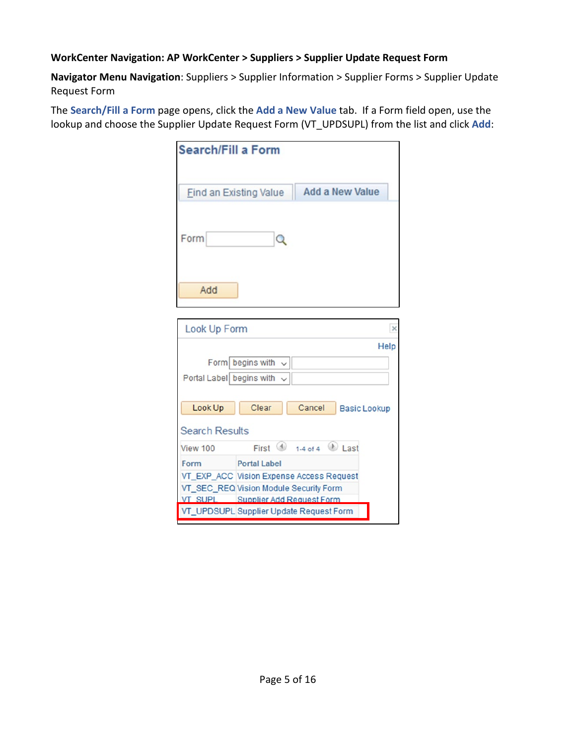# **WorkCenter Navigation: AP WorkCenter > Suppliers > Supplier Update Request Form**

**Navigator Menu Navigation**: Suppliers > Supplier Information > Supplier Forms > Supplier Update Request Form

The **Search/Fill a Form** page opens, click the **Add a New Value** tab. If a Form field open, use the lookup and choose the Supplier Update Request Form (VT\_UPDSUPL) from the list and click **Add**:

| <b>Search/Fill a Form</b> |                                                         |
|---------------------------|---------------------------------------------------------|
|                           | <b>Add a New Value</b><br><b>Find an Existing Value</b> |
| Form                      | Q                                                       |
| Add                       |                                                         |
| Look Up Form              | ×                                                       |
|                           | Help                                                    |
|                           | Form begins with $\sim$                                 |
| Portal Label begins with  | $\checkmark$                                            |
|                           |                                                         |
| Look Up                   | Clear<br>Cancel<br><b>Basic Lookup</b>                  |
| <b>Search Results</b>     |                                                         |
| View 100                  | First $\bigcirc$ 1-4 of 4 Last                          |
| Form                      | <b>Portal Label</b>                                     |
|                           | VT_EXP_ACC Vision Expense Access Request                |
|                           | VT_SEC_REQ Vision Module Security Form                  |
| <b>VT SUPL</b>            | Supplier Add Request Form                               |
|                           | VT_UPDSUPL Supplier Update Request Form                 |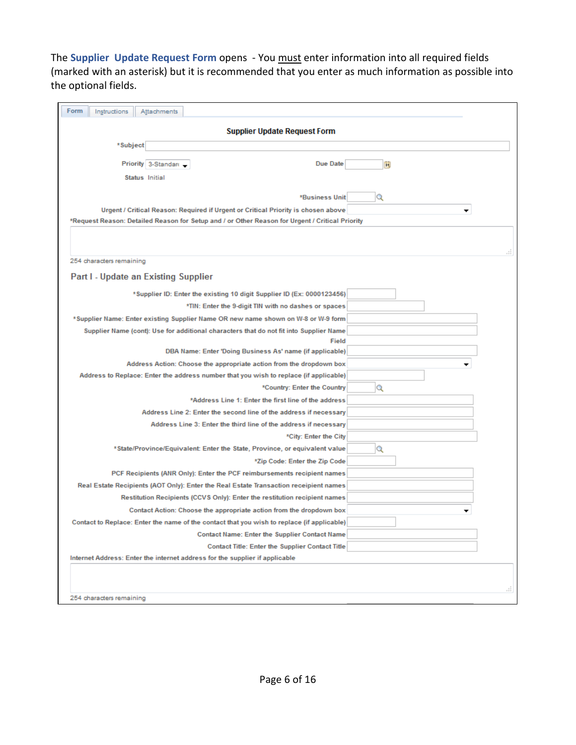The **Supplier Update Request Form** opens - You must enter information into all required fields (marked with an asterisk) but it is recommended that you enter as much information as possible into the optional fields.

| Form<br>Instructions<br>Attachments                                                             |   |
|-------------------------------------------------------------------------------------------------|---|
| <b>Supplier Update Request Form</b>                                                             |   |
| *Subject                                                                                        |   |
| Due Date<br>Priority 3-Standard                                                                 | n |
| Status Initial                                                                                  |   |
|                                                                                                 |   |
| <b>*Business Unit</b>                                                                           | Q |
| Urgent / Critical Reason: Required if Urgent or Critical Priority is chosen above               | ▼ |
| Request Reason: Detailed Reason for Setup and / or Other Reason for Urgent / Critical Priority* |   |
|                                                                                                 |   |
|                                                                                                 |   |
| 254 characters remaining                                                                        |   |
| Part I - Update an Existing Supplier                                                            |   |
|                                                                                                 |   |
| *Supplier ID: Enter the existing 10 digit Supplier ID (Ex: 0000123456)                          |   |
| *TIN: Enter the 9-digit TIN with no dashes or spaces                                            |   |
| *Supplier Name: Enter existing Supplier Name OR new name shown on W-8 or W-9 form               |   |
| Supplier Name (cont): Use for additional characters that do not fit into Supplier Name          |   |
| Field<br>DBA Name: Enter 'Doing Business As' name (if applicable)                               |   |
| Address Action: Choose the appropriate action from the dropdown box                             |   |
| Address to Replace: Enter the address number that you wish to replace (if applicable)           | ▼ |
| *Country: Enter the Country                                                                     | Q |
| *Address Line 1: Enter the first line of the address                                            |   |
| Address Line 2: Enter the second line of the address if necessary                               |   |
| Address Line 3: Enter the third line of the address if necessary                                |   |
| *City: Enter the City                                                                           |   |
| *State/Province/Equivalent: Enter the State, Province, or equivalent value                      | Q |
| *Zip Code: Enter the Zip Code                                                                   |   |
| PCF Recipients (ANR Only): Enter the PCF reimbursements recipient names                         |   |
| Real Estate Recipients (AOT Only): Enter the Real Estate Transaction receipient names           |   |
| Restitution Recipients (CCVS Only): Enter the restitution recipient names                       |   |
| Contact Action: Choose the appropriate action from the dropdown box                             | ▼ |
| Contact to Replace: Enter the name of the contact that you wish to replace (if applicable)      |   |
|                                                                                                 |   |
| <b>Contact Name: Enter the Supplier Contact Name</b>                                            |   |
| <b>Contact Title: Enter the Supplier Contact Title</b>                                          |   |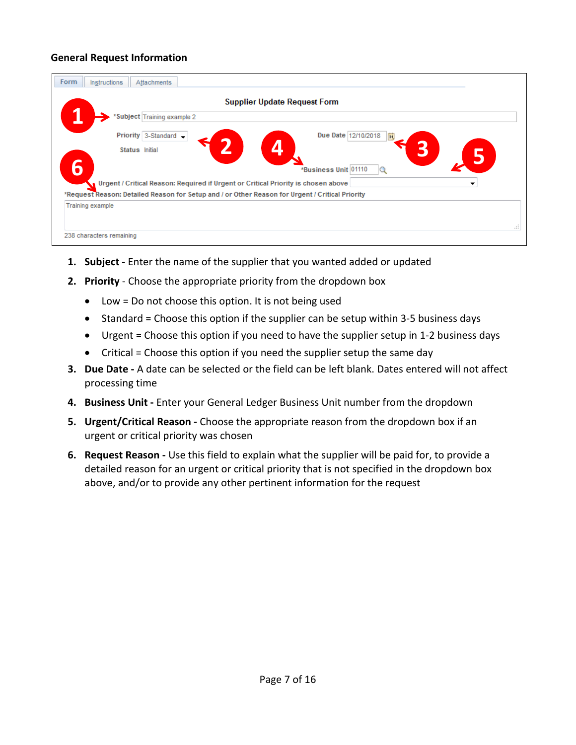# <span id="page-6-0"></span>**General Request Information**

| Form<br><b>Instructions</b><br>Attachments                                                      |     |
|-------------------------------------------------------------------------------------------------|-----|
| <b>Supplier Update Request Form</b>                                                             |     |
| *Subject Training example 2                                                                     |     |
| Due Date 12/10/2018<br>Priority 3-Standard -<br>n                                               |     |
| Status Initial                                                                                  |     |
| 6<br>*Business Unit 01110<br>Q                                                                  |     |
| Urgent / Critical Reason: Required if Urgent or Critical Priority is chosen above<br>▼          |     |
| *Request Reason: Detailed Reason for Setup and / or Other Reason for Urgent / Critical Priority |     |
| <b>Training example</b>                                                                         |     |
|                                                                                                 | 111 |
| 238 characters remaining                                                                        |     |

- **1. Subject -** Enter the name of the supplier that you wanted added or updated
- **2. Priority** Choose the appropriate priority from the dropdown box
	- Low = Do not choose this option. It is not being used
	- Standard = Choose this option if the supplier can be setup within 3-5 business days
	- Urgent = Choose this option if you need to have the supplier setup in 1-2 business days
	- Critical = Choose this option if you need the supplier setup the same day
- **3. Due Date -** A date can be selected or the field can be left blank. Dates entered will not affect processing time
- **4. Business Unit -** Enter your General Ledger Business Unit number from the dropdown
- **5. Urgent/Critical Reason -** Choose the appropriate reason from the dropdown box if an urgent or critical priority was chosen
- **6. Request Reason -** Use this field to explain what the supplier will be paid for, to provide a detailed reason for an urgent or critical priority that is not specified in the dropdown box above, and/or to provide any other pertinent information for the request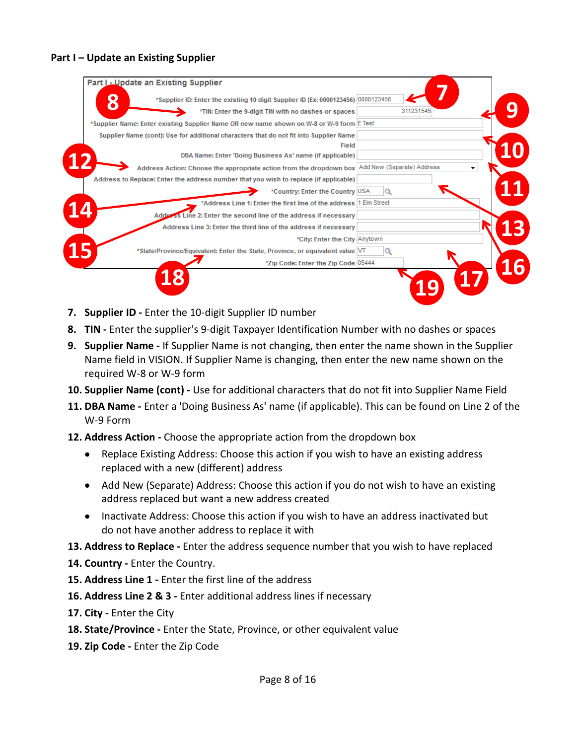# <span id="page-7-0"></span>**Part I – Update an Existing Supplier**

| 8 | *Supplier ID: Enter the existing 10 digit Supplier ID (Ex: 0000123456) 0000123456              |                                                                   |           |  |
|---|------------------------------------------------------------------------------------------------|-------------------------------------------------------------------|-----------|--|
|   |                                                                                                | *TIN: Enter the 9-digit TIN with no dashes or spaces              | 311231545 |  |
|   | *Supplier Name: Enter existing Supplier Name OR new name shown on W-8 or W-9 form E Test       |                                                                   |           |  |
|   | Supplier Name (cont): Use for additional characters that do not fit into Supplier Name         |                                                                   |           |  |
|   |                                                                                                | Field                                                             |           |  |
|   |                                                                                                | DBA Name: Enter 'Doing Business As' name (if applicable)          |           |  |
|   | Address Action: Choose the appropriate action from the dropdown box Add New (Separate) Address |                                                                   |           |  |
|   | Address to Replace: Enter the address number that you wish to replace (if applicable)          |                                                                   |           |  |
|   |                                                                                                | *Country: Enter the Country USA                                   |           |  |
|   |                                                                                                | *Address Line 1: Enter the first line of the address 1 Elm Street |           |  |
|   | Address Line 2: Enter the second line of the address if necessary                              |                                                                   |           |  |
|   |                                                                                                | Address Line 3: Enter the third line of the address if necessary  |           |  |
|   |                                                                                                | *City: Enter the City Anytown                                     |           |  |
|   | *State/Province/Equivalent: Enter the State, Province, or equivalent value [VT]                |                                                                   |           |  |
|   |                                                                                                | *Zip Code: Enter the Zip Code 05444                               |           |  |
|   |                                                                                                |                                                                   |           |  |

- **7. Supplier ID -** Enter the 10-digit Supplier ID number
- **8. TIN -** Enter the supplier's 9-digit Taxpayer Identification Number with no dashes or spaces
- **9. Supplier Name -** If Supplier Name is not changing, then enter the name shown in the Supplier Name field in VISION. If Supplier Name is changing, then enter the new name shown on the required W-8 or W-9 form
- **10. Supplier Name (cont) -** Use for additional characters that do not fit into Supplier Name Field
- **11. DBA Name -** Enter a 'Doing Business As' name (if applicable). This can be found on Line 2 of the W-9 Form
- **12. Address Action -** Choose the appropriate action from the dropdown box
	- Replace Existing Address: Choose this action if you wish to have an existing address replaced with a new (different) address
	- Add New (Separate) Address: Choose this action if you do not wish to have an existing address replaced but want a new address created
	- Inactivate Address: Choose this action if you wish to have an address inactivated but do not have another address to replace it with
- **13. Address to Replace -** Enter the address sequence number that you wish to have replaced
- **14. Country -** Enter the Country.
- **15. Address Line 1 -** Enter the first line of the address
- **16. Address Line 2 & 3 -** Enter additional address lines if necessary
- **17. City -** Enter the City
- **18. State/Province -** Enter the State, Province, or other equivalent value
- **19. Zip Code -** Enter the Zip Code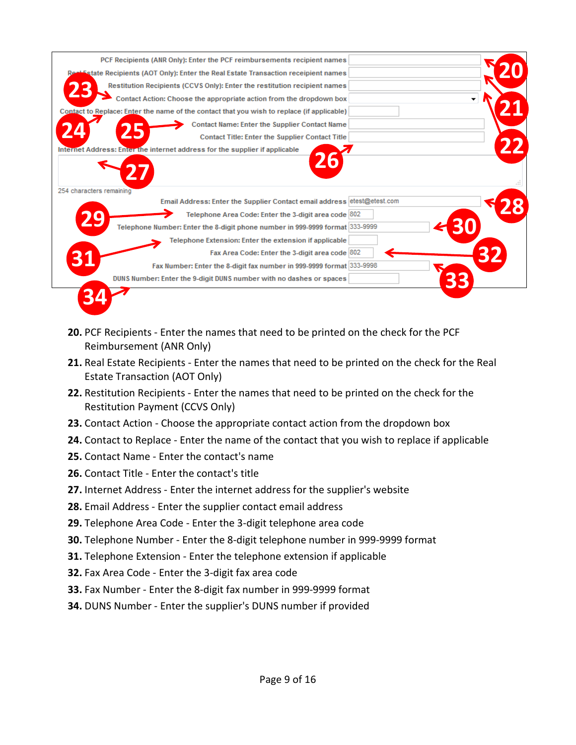

- **20.** PCF Recipients Enter the names that need to be printed on the check for the PCF Reimbursement (ANR Only)
- **21.** Real Estate Recipients Enter the names that need to be printed on the check for the Real Estate Transaction (AOT Only)
- **22.** Restitution Recipients Enter the names that need to be printed on the check for the Restitution Payment (CCVS Only)
- **23.** Contact Action Choose the appropriate contact action from the dropdown box
- **24.** Contact to Replace Enter the name of the contact that you wish to replace if applicable
- **25.** Contact Name Enter the contact's name
- **26.** Contact Title Enter the contact's title
- **27.** Internet Address Enter the internet address for the supplier's website
- **28.** Email Address Enter the supplier contact email address
- **29.** Telephone Area Code Enter the 3-digit telephone area code
- **30.** Telephone Number Enter the 8-digit telephone number in 999-9999 format
- **31.** Telephone Extension Enter the telephone extension if applicable
- **32.** Fax Area Code Enter the 3-digit fax area code
- **33.** Fax Number Enter the 8-digit fax number in 999-9999 format
- **34.** DUNS Number Enter the supplier's DUNS number if provided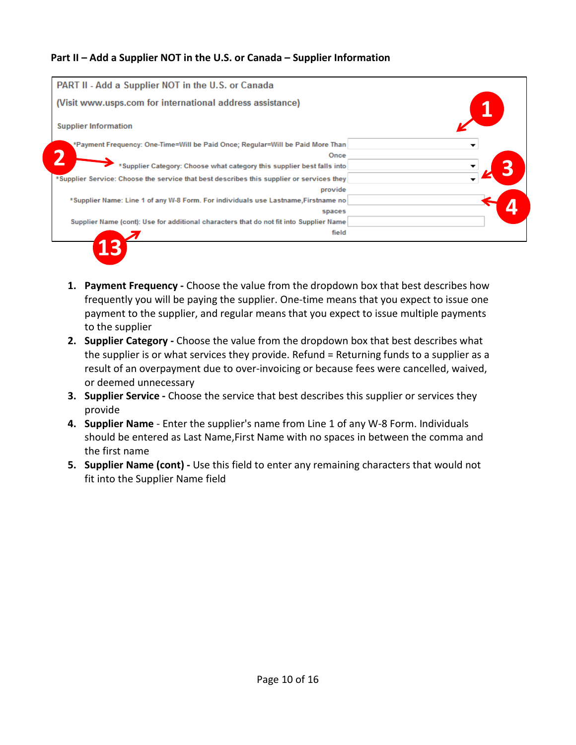# <span id="page-9-0"></span>**Part II – Add a Supplier NOT in the U.S. or Canada – Supplier Information**

| PART II - Add a Supplier NOT in the U.S. or Canada                                       |   |
|------------------------------------------------------------------------------------------|---|
| (Visit www.usps.com for international address assistance)                                |   |
| <b>Supplier Information</b>                                                              |   |
| *Payment Frequency: One-Time=Will be Paid Once; Regular=Will be Paid More Than           | ▼ |
| Once                                                                                     |   |
| *Supplier Category: Choose what category this supplier best falls into                   |   |
| *Supplier Service: Choose the service that best describes this supplier or services they |   |
| provide                                                                                  |   |
| *Supplier Name: Line 1 of any W-8 Form. For individuals use Lastname, Firstname no       |   |
| spaces                                                                                   |   |
| Supplier Name (cont): Use for additional characters that do not fit into Supplier Name   |   |
| field                                                                                    |   |

- **1. Payment Frequency -** Choose the value from the dropdown box that best describes how frequently you will be paying the supplier. One-time means that you expect to issue one payment to the supplier, and regular means that you expect to issue multiple payments to the supplier
- **2. Supplier Category -** Choose the value from the dropdown box that best describes what the supplier is or what services they provide. Refund = Returning funds to a supplier as a result of an overpayment due to over-invoicing or because fees were cancelled, waived, or deemed unnecessary
- **3. Supplier Service -** Choose the service that best describes this supplier or services they provide
- **4. Supplier Name** Enter the supplier's name from Line 1 of any W-8 Form. Individuals should be entered as Last Name,First Name with no spaces in between the comma and the first name
- **5. Supplier Name (cont) -** Use this field to enter any remaining characters that would not fit into the Supplier Name field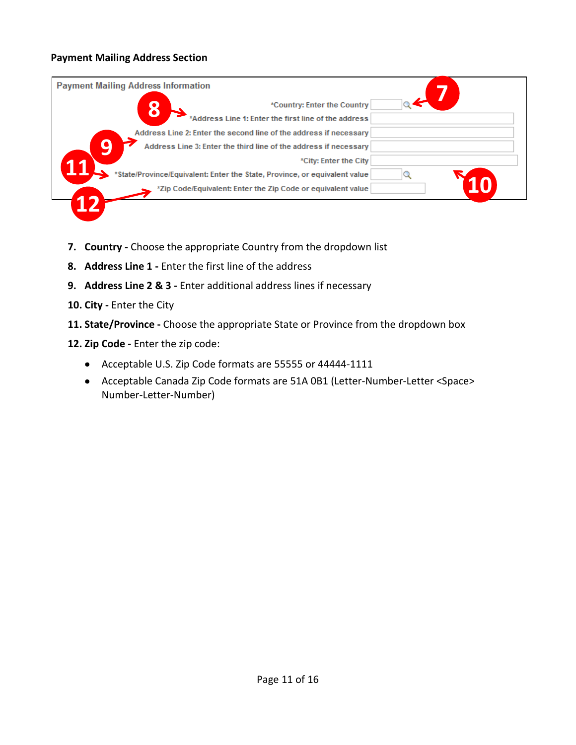# <span id="page-10-0"></span>**Payment Mailing Address Section**

|   | <b>Payment Mailing Address Information</b>                                 |  |
|---|----------------------------------------------------------------------------|--|
|   | *Country: Enter the Country                                                |  |
|   | *Address Line 1: Enter the first line of the address                       |  |
|   | Address Line 2: Enter the second line of the address if necessary          |  |
| a | Address Line 3: Enter the third line of the address if necessary           |  |
|   | *City: Enter the City                                                      |  |
|   | *State/Province/Equivalent: Enter the State, Province, or equivalent value |  |
|   | *Zip Code/Equivalent: Enter the Zip Code or equivalent value               |  |
|   |                                                                            |  |

- **7. Country -** Choose the appropriate Country from the dropdown list
- **8. Address Line 1 -** Enter the first line of the address
- **9. Address Line 2 & 3 -** Enter additional address lines if necessary
- **10. City -** Enter the City
- **11. State/Province -** Choose the appropriate State or Province from the dropdown box
- **12. Zip Code -** Enter the zip code:
	- Acceptable U.S. Zip Code formats are 55555 or 44444-1111
	- Acceptable Canada Zip Code formats are 51A 0B1 (Letter-Number-Letter <Space> Number-Letter-Number)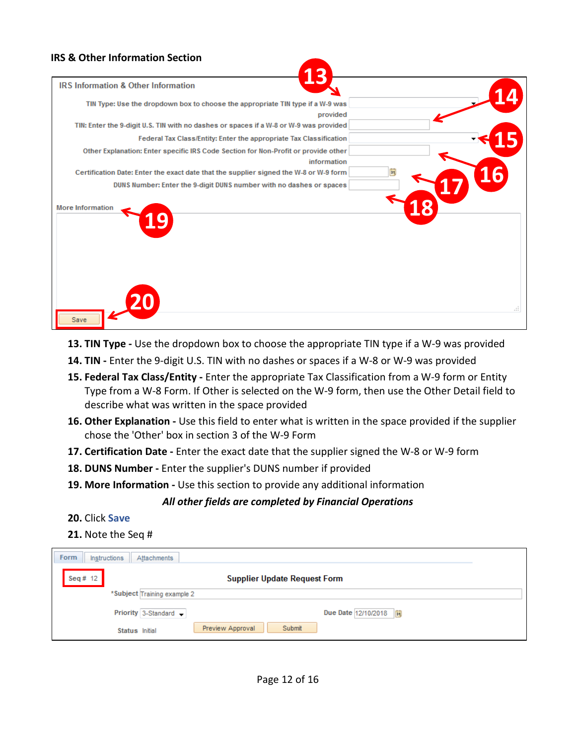#### <span id="page-11-0"></span>**IRS & Other Information Section**

| R<br>1                                                                                     |           |
|--------------------------------------------------------------------------------------------|-----------|
| <b>IRS Information &amp; Other Information</b>                                             |           |
| TIN Type: Use the dropdown box to choose the appropriate TIN type if a W-9 was<br>provided |           |
| TIN: Enter the 9-digit U.S. TIN with no dashes or spaces if a W-8 or W-9 was provided      |           |
| Federal Tax Class/Entity: Enter the appropriate Tax Classification                         |           |
| Other Explanation: Enter specific IRS Code Section for Non-Profit or provide other         |           |
| information                                                                                |           |
| Certification Date: Enter the exact date that the supplier signed the W-8 or W-9 form      | <b>16</b> |
| DUNS Number: Enter the 9-digit DUNS number with no dashes or spaces                        |           |
|                                                                                            |           |
| <b>More Information</b>                                                                    |           |
|                                                                                            |           |
|                                                                                            |           |
|                                                                                            |           |
|                                                                                            |           |
|                                                                                            |           |
|                                                                                            |           |
|                                                                                            |           |
|                                                                                            | -11       |
| Save                                                                                       |           |

- **13. TIN Type -** Use the dropdown box to choose the appropriate TIN type if a W-9 was provided
- **14. TIN -** Enter the 9-digit U.S. TIN with no dashes or spaces if a W-8 or W-9 was provided
- **15. Federal Tax Class/Entity -** Enter the appropriate Tax Classification from a W-9 form or Entity Type from a W-8 Form. If Other is selected on the W-9 form, then use the Other Detail field to describe what was written in the space provided
- **16. Other Explanation -** Use this field to enter what is written in the space provided if the supplier chose the 'Other' box in section 3 of the W-9 Form
- **17. Certification Date -** Enter the exact date that the supplier signed the W-8 or W-9 form
- **18. DUNS Number -** Enter the supplier's DUNS number if provided
- **19. More Information -** Use this section to provide any additional information

#### *All other fields are completed by Financial Operations*

#### **20.** Click **Save**

#### **21.** Note the Seq #

| Form<br>Instructions | Attachments                                         |
|----------------------|-----------------------------------------------------|
| Seq#12               | <b>Supplier Update Request Form</b>                 |
|                      | *Subject Training example 2                         |
|                      | Priority 3-Standard -<br>Due Date 12/10/2018<br> 31 |
|                      | Preview Approval<br>Submit<br>Status Initial        |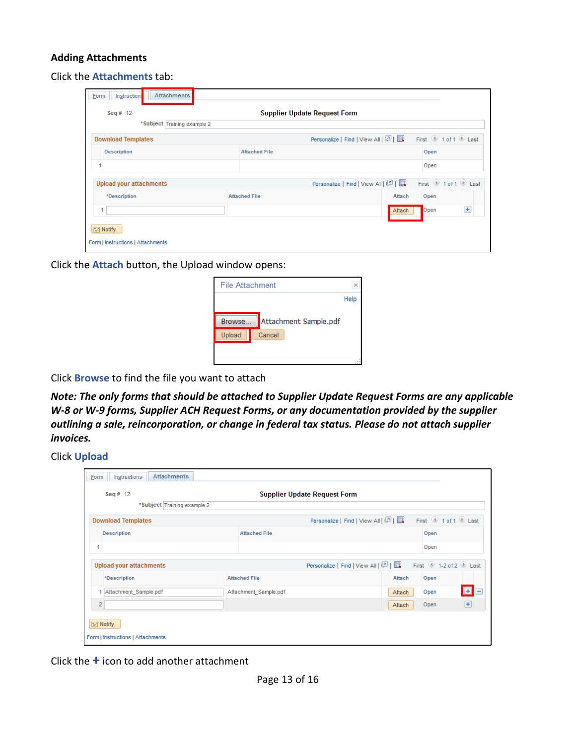## <span id="page-12-0"></span>**Adding Attachments**

Click the **Attachments** tab:

| Seq # $12$                     |                      | <b>Supplier Update Request Form</b>  |                                                                                                             |  |
|--------------------------------|----------------------|--------------------------------------|-------------------------------------------------------------------------------------------------------------|--|
| *Subject Training example 2    |                      |                                      |                                                                                                             |  |
| <b>Download Templates</b>      |                      | Personalize   Find   View All   2    | First $\textcircled{\tiny{\textcircled{\tiny 1}}}$ 1 of 1 $\textcircled{\tiny{\textcircled{\tiny k}}}$ Last |  |
| <b>Description</b>             | <b>Attached File</b> |                                      | Open                                                                                                        |  |
|                                |                      |                                      | Open                                                                                                        |  |
| <b>Upload your attachments</b> |                      | Personalize   Find   View All   (기 ) | First 1 of 1 D Last                                                                                         |  |
| *Description                   | <b>Attached File</b> | Attach                               | Open                                                                                                        |  |
|                                |                      |                                      |                                                                                                             |  |

Click the **Attach** button, the Upload window opens:

| File Attachment |                       |      |
|-----------------|-----------------------|------|
|                 |                       | Help |
| Browse          | Attachment Sample.pdf |      |
| Upload          | Cancel                |      |
|                 |                       |      |
|                 |                       |      |

Click **Browse** to find the file you want to attach

*Note: The only forms that should be attached to Supplier Update Request Forms are any applicable W-8 or W-9 forms, Supplier ACH Request Forms, or any documentation provided by the supplier outlining a sale, reincorporation, or change in federal tax status. Please do not attach supplier invoices.* 

Click **Upload**

| <b>Attachments</b><br>Instructions<br><b>Form</b> |                                     |                                   |                                |
|---------------------------------------------------|-------------------------------------|-----------------------------------|--------------------------------|
| Seq # $12$                                        | <b>Supplier Update Request Form</b> |                                   |                                |
| *Subject Training example 2                       |                                     |                                   |                                |
| <b>Download Templates</b>                         |                                     | Personalize   Find   View All   2 | First 1 of 1 D Last            |
| <b>Description</b>                                | <b>Attached File</b>                | Open                              |                                |
|                                                   |                                     | Open                              |                                |
| <b>Upload your attachments</b>                    |                                     | Personalize   Find   View All   2 | First $\bigcirc$ 1-2 of 2 Last |
| *Description                                      | <b>Attached File</b>                | Attach<br>Open                    |                                |
| Attachment_Sample.pdf                             | Attachment_Sample.pdf               | Open<br>Attach                    | EE                             |
| $\overline{2}$                                    |                                     | Open<br>Attach                    | $+$                            |
| Till Notify<br>Form   Instructions   Attachments  |                                     |                                   |                                |

Click the **+** icon to add another attachment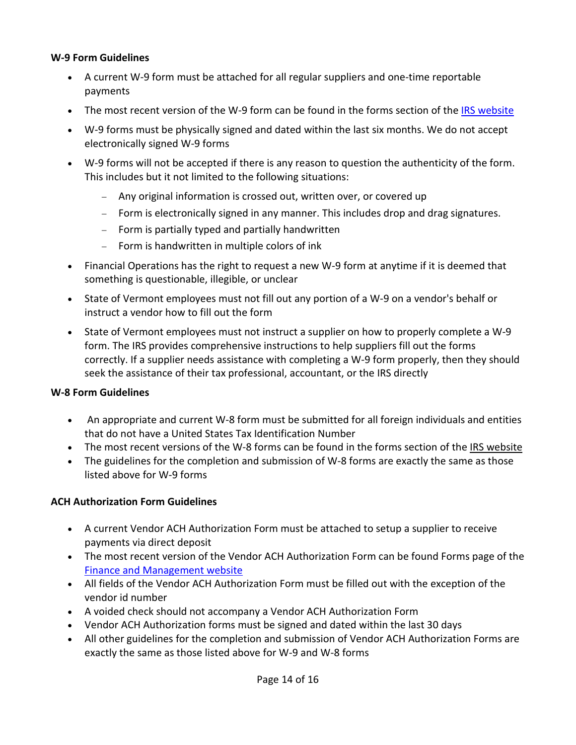# **W-9 Form Guidelines**

- A current W-9 form must be attached for all regular suppliers and one-time reportable payments
- The most recent version of the W-9 form can be found in the forms section of the [IRS website](https://www.irs.gov/forms-instructions)
- W-9 forms must be physically signed and dated within the last six months. We do not accept electronically signed W-9 forms
- W-9 forms will not be accepted if there is any reason to question the authenticity of the form. This includes but it not limited to the following situations:
	- − Any original information is crossed out, written over, or covered up
	- − Form is electronically signed in any manner. This includes drop and drag signatures.
	- − Form is partially typed and partially handwritten
	- − Form is handwritten in multiple colors of ink
- Financial Operations has the right to request a new W-9 form at anytime if it is deemed that something is questionable, illegible, or unclear
- State of Vermont employees must not fill out any portion of a W-9 on a vendor's behalf or instruct a vendor how to fill out the form
- State of Vermont employees must not instruct a supplier on how to properly complete a W-9 form. The IRS provides comprehensive instructions to help suppliers fill out the forms correctly. If a supplier needs assistance with completing a W-9 form properly, then they should seek the assistance of their tax professional, accountant, or the IRS directly

#### **W-8 Form Guidelines**

- An appropriate and current W-8 form must be submitted for all foreign individuals and entities that do not have a United States Tax Identification Number
- The most recent versions of the W-8 forms can be found in the forms section of the [IRS website](https://www.irs.gov/forms-instructions)
- The guidelines for the completion and submission of W-8 forms are exactly the same as those listed above for W-9 forms

#### **ACH Authorization Form Guidelines**

- A current Vendor ACH Authorization Form must be attached to setup a supplier to receive payments via direct deposit
- The most recent version of the Vendor ACH Authorization Form can be found Forms page of the [Finance and Management website](http://www.finance.vermont.gov/forms/vision)
- All fields of the Vendor ACH Authorization Form must be filled out with the exception of the vendor id number
- A voided check should not accompany a Vendor ACH Authorization Form
- Vendor ACH Authorization forms must be signed and dated within the last 30 days
- All other guidelines for the completion and submission of Vendor ACH Authorization Forms are exactly the same as those listed above for W-9 and W-8 forms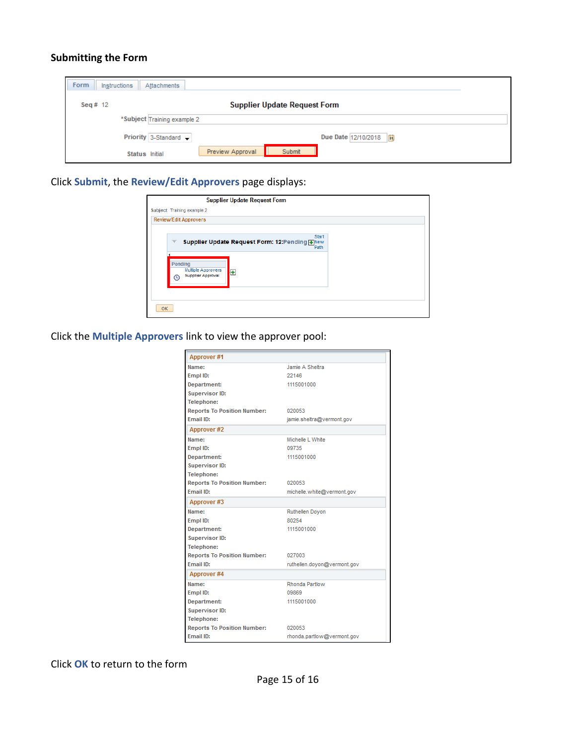## <span id="page-14-0"></span>**Submitting the Form**

| Form<br>Instructions<br>Attachments |                                              |  |  |  |
|-------------------------------------|----------------------------------------------|--|--|--|
| Seq # $12$                          | <b>Supplier Update Request Form</b>          |  |  |  |
|                                     | *Subject Training example 2                  |  |  |  |
|                                     | Priority 3-Standard -<br>Due Date 12/10/2018 |  |  |  |
|                                     | Preview Approval<br>Submit<br>Status Initial |  |  |  |

Click **Submit**, the **Review/Edit Approvers** page displays:

|                              | <b>Supplier Update Request Form</b>                        |  |  |  |  |
|------------------------------|------------------------------------------------------------|--|--|--|--|
|                              | Subject Training example 2                                 |  |  |  |  |
| <b>Review/Edit Approvers</b> |                                                            |  |  |  |  |
|                              |                                                            |  |  |  |  |
|                              | Start<br>Supplier Update Request Form: 12:Pending +New     |  |  |  |  |
|                              | Path                                                       |  |  |  |  |
| Pending<br>$\bigcap$         | <b>Multiple Approvers</b><br>÷<br><b>Supplier Approval</b> |  |  |  |  |
| OK                           |                                                            |  |  |  |  |

Click the **Multiple Approvers** link to view the approver pool:

| Approver#1                         |                             |
|------------------------------------|-----------------------------|
| Name:                              | Jamie A Sheltra             |
| Empl ID:                           | 22146                       |
| Department:                        | 1115001000                  |
| Supervisor ID:                     |                             |
| Telephone:                         |                             |
| <b>Reports To Position Number:</b> | 020053                      |
| Email ID:                          | jamie.sheltra@vermont.gov   |
| Approver#2                         |                             |
| Name:                              | Michelle L White            |
| Empl ID:                           | 09735                       |
| Department:                        | 1115001000                  |
| Supervisor ID:                     |                             |
| Telephone:                         |                             |
| <b>Reports To Position Number:</b> | 020053                      |
| Email ID:                          | michelle.white@vermont.gov  |
| Approver#3                         |                             |
| Name:                              | Ruthellen Doyon             |
| Empl ID:                           | 80254                       |
| Department:                        | 1115001000                  |
| <b>Supervisor ID:</b>              |                             |
| Telephone:                         |                             |
| <b>Reports To Position Number:</b> | 027003                      |
| Email ID:                          | ruthellen.doyon@vermont.gov |
| Approver #4                        |                             |
| Name:                              | Rhonda Partlow              |
| Empl ID:                           | 09869                       |
| Department:                        | 1115001000                  |
| Supervisor ID:                     |                             |
| Telephone:                         |                             |
| <b>Reports To Position Number:</b> | 020053                      |
| <b>Email ID:</b>                   | rhonda.partlow@vermont.gov  |

Click **OK** to return to the form